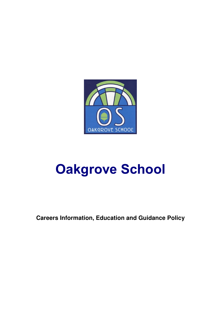

# **Oakgrove School**

**Careers Information, Education and Guidance Policy**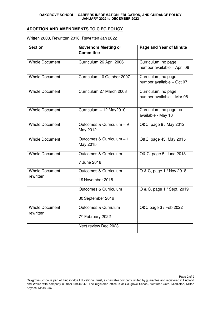## **ADOPTION AND AMENDMENTS TO CIEG POLICY**

| <b>Section</b>                     | <b>Governors Meeting or</b><br><b>Committee</b>       | <b>Page and Year of Minute</b>                     |
|------------------------------------|-------------------------------------------------------|----------------------------------------------------|
| <b>Whole Document</b>              | Curriculum 26 April 2006                              | Curriculum, no page<br>number available - April 06 |
| <b>Whole Document</b>              | Curriculum 10 October 2007                            | Curriculum, no page<br>number available - Oct 07   |
| <b>Whole Document</b>              | Curriculum 27 March 2008                              | Curriculum, no page<br>number available - Mar 08   |
| <b>Whole Document</b>              | Curriculum - 12 May2010                               | Curriculum, no page no<br>available - May 10       |
| <b>Whole Document</b>              | Outcomes & Curriculum - 9<br>May 2012                 | O&C, page 9 / May 2012                             |
| <b>Whole Document</b>              | Outcomes & Curriculum - 11<br>May 2015                | O&C, page 43, May 2015                             |
| <b>Whole Document</b>              | Outcomes & Curriculum -<br>7 June 2018                | O& C, page 5, June 2018                            |
| <b>Whole Document</b><br>rewritten | <b>Outcomes &amp; Curriculum</b><br>19 November 2018  | O & C, page 1 / Nov 2018                           |
|                                    | <b>Outcomes &amp; Curriculum</b><br>30 September 2019 | O & C, page 1 / Sept. 2019                         |
| <b>Whole Document</b><br>rewritten | Outcomes & Curriulum<br>7 <sup>th</sup> February 2022 | O&C page 3 / Feb 2022                              |
|                                    | Next review Dec 2023                                  |                                                    |

Written 2008, Rewritten 2018, Rewritten Jan 2022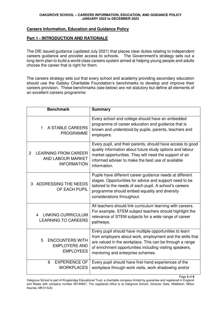#### **Careers Information, Education and Guidance Policy**

#### **Part 1 - INTRODUCTION AND RATIONALE**

The DfE issued guidance (updated July 2021) that places clear duties relating to independent careers guidance and provider access to schools. The Government's strategy sets out a long-term plan to build a world class careers system aimed at helping young people and adults choose the career that is right for them.

The careers strategy sets out that every school and academy providing secondary education should use the Gatsby Charitable Foundation's benchmarks to develop and improve their careers provision. These benchmarks (see below) are not statutory but define all elements of an excellent careers programme:

| <b>Benchmark</b>                                                                                | <b>Summary</b>                                                                                                                                                                                                                                                                    |
|-------------------------------------------------------------------------------------------------|-----------------------------------------------------------------------------------------------------------------------------------------------------------------------------------------------------------------------------------------------------------------------------------|
| A STABLE CAREERS<br>1<br><b>PROGRAMME</b>                                                       | Every school and college should have an embedded<br>programme of career education and guidance that is<br>known and understood by pupils, parents, teachers and<br>employers.                                                                                                     |
| <b>LEARNING FROM CAREER</b><br>$\overline{2}$<br><b>AND LABOUR MARKET</b><br><b>INFORMATION</b> | Every pupil, and their parents, should have access to good<br>quality information about future study options and labour<br>market opportunities. They will need the support of an<br>informed adviser to make the best use of available<br>information.                           |
| ADDRESSING THE NEEDS<br>3<br>OF EACH PUPIL                                                      | Pupils have different career guidance needs at different<br>stages. Opportunities for advice and support need to be<br>tailored to the needs of each pupil. A school's careers<br>programme should embed equality and diversity<br>considerations throughout.                     |
| <b>LINKING CURRICULUM</b><br>4<br><b>LEARNING TO CAREERS</b>                                    | All teachers should link curriculum learning with careers.<br>For example, STEM subject teachers should highlight the<br>relevance of STEM subjects for a wide range of career<br>pathways.                                                                                       |
| <b>ENCOUNTERS WITH</b><br>5<br><b>EMPLOYERS AND</b><br><b>EMPLOYEES</b>                         | Every pupil should have multiple opportunities to learn<br>from employers about work, employment and the skills that<br>are valued in the workplace. This can be through a range<br>of enrichment opportunities including visiting speakers,<br>mentoring and enterprise schemes. |
| <b>EXPERIENCE OF</b><br>6<br><b>WORKPLACES</b>                                                  | Every pupil should have first-hand experiences of the<br>workplace through work visits, work shadowing and/or                                                                                                                                                                     |

Page **3** of **9** 

Oakgrove School is part of Kingsbridge Educational Trust, a charitable company limited by guarantee and registered in England and Wales with company number 09144847. The registered office is at Oakgrove School, Venturer Gate, Middleton, Milton Keynes, MK10 9JQ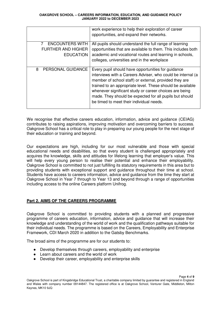|                                                                         | work experience to help their exploration of career<br>opportunities, and expand their networks.                                                                                                                                                                                                                                                                                                           |
|-------------------------------------------------------------------------|------------------------------------------------------------------------------------------------------------------------------------------------------------------------------------------------------------------------------------------------------------------------------------------------------------------------------------------------------------------------------------------------------------|
| <b>ENCOUNTERS WITH</b><br><b>FURTHER AND HIGHER</b><br><b>EDUCATION</b> | All pupils should understand the full range of learning<br>opportunities that are available to them. This includes both<br>academic and vocational routes and learning in schools,<br>colleges, universities and in the workplace                                                                                                                                                                          |
| PERSONAL GUIDANCE<br>8                                                  | Every pupil should have opportunities for guidance<br>interviews with a Careers Adviser, who could be internal (a<br>member of school staff) or external, provided they are<br>trained to an appropriate level. These should be available<br>whenever significant study or career choices are being<br>made. They should be expected for all pupils but should<br>be timed to meet their individual needs. |

We recognise that effective careers education, information, advice and guidance (CEIAG) contributes to raising aspirations, improving motivation and overcoming barriers to success. Oakgrove School has a critical role to play in preparing our young people for the next stage of their education or training and beyond.

Our expectations are high, including for our most vulnerable and those with special educational needs and disabilities, so that every student is challenged appropriately and acquires the knowledge, skills and attitudes for lifelong learning that employer's value. This will help every young person to realise their potential and enhance their employability. Oakgrove School is committed to not just fulfilling its statutory requirements in this area but to providing students with exceptional support and guidance throughout their time at school. Students have access to careers information, advice and guidance from the time they start at Oakgrove School in Year 7 through to Year 13 and beyond through a range of opportunities including access to the online Careers platform Unifrog.

# **Part 2. AIMS OF THE CAREERS PROGRAMME**

Oakgrove School is committed to providing students with a planned and progressive programme of careers education, information, advice and guidance that will increase their knowledge and understanding of the world of work and the qualification pathways suitable for their individual needs. The programme is based on the Careers, Employability and Enterprise Framework, CDI March 2020 in addition to the Gatsby Benchmarks.

The broad aims of the programme are for our students to:

- Develop themselves through careers, employability and enterprise
- Learn about careers and the world of work
- Develop their career, employability and enterprise skills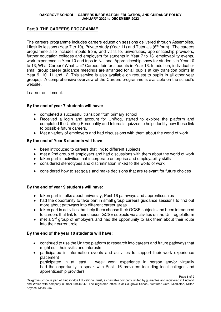# **Part 3. THE CAREERS PROGRAMME**

The careers programme includes careers education sessions delivered through Assemblies, Lifeskills lessons (Year 7 to 10), Private study (Year 11) and Tutorials ( $6<sup>th</sup>$  form). The careers programme also includes inputs from, and visits to, universities, apprenticeship providers, further education colleges and employers for students in Year 7 to 13, employability events, work experience in Year 10 and trips to National Apprenticeship show for students in Year 10 to 13, What Career? What Uni? Careers fair for students in Year 13. In addition, individual or small group career guidance meetings are arranged for all pupils at key transition points in Year 9, 10, 11 and 12. This service is also available on request to pupils in all other year groups). A comprehensive overview of the Careers programme is available on the school's website.

Learner entitlement:

## **By the end of year 7 students will have:**

- completed a successful transition from primary school
- Received a login and account for Unifrog, started to explore the platform and completed the Unifrog Personality and Interests quizzes to help identify how these link to possible future careers.
- Met a variety of employers and had discussions with them about the world of work

## **By the end of Year 8 students will have:**

- been introduced to careers that link to different subjects
- met a 2nd group of employers and had discussions with them about the world of work
- taken part in activities that incorporate enterprise and employability skills
- considered stereotypes and discrimination linked to the world of work
- considered how to set goals and make decisions that are relevant for future choices

## **By the end of year 9 students will have:**

- taken part in talks about university, Post 16 pathways and apprenticeships
- had the opportunity to take part in small group careers guidance sessions to find out more about pathways into different career areas
- taken part in activities that help them choose their GCSE subjects and been introduced to careers that link to their chosen GCSE subjects via activities on the Unifrog platform
- $\bullet$  met a 3<sup>rd</sup> group of employers and had the opportunity to ask them about their route into their current role

## **By the end of the year 10 students will have:**

- continued to use the Unifrog platform to research into careers and future pathways that might suit their skills and interests
- participated in information events and activities to support their work experience placement

participated in at least 1 week work experience in person and/or virtually had the opportunity to speak with Post -16 providers including local colleges and apprenticeship providers

Oakgrove School is part of Kingsbridge Educational Trust, a charitable company limited by guarantee and registered in England and Wales with company number 09144847. The registered office is at Oakgrove School, Venturer Gate, Middleton, Milton Keynes, MK10 9JQ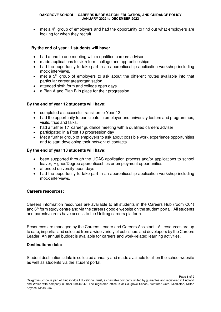$\bullet$  met a 4<sup>th</sup> group of employers and had the opportunity to find out what employers are looking for when they recruit

## **By the end of year 11 students will have:**

- had a one to one meeting with a qualified careers adviser
- made applications to sixth form, college and apprenticeships
- had the opportunity to take part in an apprenticeship application workshop including mock interviews.
- $\bullet$  met a  $5<sup>th</sup>$  group of employers to ask about the different routes available into that particular career area/organisation
- attended sixth form and college open days
- a Plan A and Plan B in place for their progression

# **By the end of year 12 students will have:**

- completed a successful transition to Year 12
- had the opportunity to participate in employer and university tasters and programmes, visits, trips and talks.
- had a further 1:1 career guidance meeting with a qualified careers adviser
- participated in a Post 18 progression day
- Met a further group of employers to ask about possible work experience opportunities and to start developing their network of contacts

## **By the end of year 13 students will have:**

- been supported through the UCAS application process and/or applications to school leaver, Higher/Degree apprenticeships or employment opportunities
- attended university open days
- had the opportunity to take part in an apprenticeship application workshop including mock interviews.

## **Careers resources:**

Careers information resources are available to all students in the Careers Hub (room C04) and 6<sup>th</sup> form study centre and via the careers google website on the student portal. All students and parents/carers have access to the Unifrog careers platform.

Resources are managed by the Careers Leader and Careers Assistant. All resources are up to date, impartial and selected from a wide variety of publishers and developers by the Careers Leader. An annual budget is available for careers and work-related learning activities.

## **Destinations data:**

Student destinations data is collected annually and made available to all on the school website as well as students via the student portal.

Page **6** of **9**  Oakgrove School is part of Kingsbridge Educational Trust, a charitable company limited by guarantee and registered in England and Wales with company number 09144847. The registered office is at Oakgrove School, Venturer Gate, Middleton, Milton Keynes, MK10 9JQ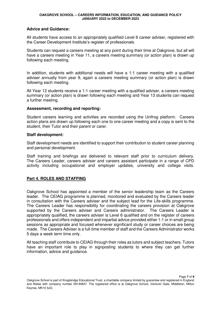#### **Advice and Guidance:**

All students have access to an appropriately qualified Level 6 career adviser, registered with the Career Development Institute's register of professionals.

Students can request a careers meeting at any point during their time at Oakgrove, but all will have a careers meeting in Year 11, a careers meeting summary (or action plan) is drawn up following each meeting.

In addition, students with additional needs will have a 1:1 career meeting with a qualified adviser annually from year 9, again a careers meeting summary (or action plan) is drawn following each meeting.

All Year 12 students receive a 1:1 career meeting with a qualified adviser, a careers meeting summary (or action plan) is drawn following each meeting and Year 13 students can request a further meeting.

#### **Assessment, recording and reporting:**

Student careers learning and activities are recorded using the Unifrog platform. Careers action plans are drawn up following each one to one career meeting and a copy is sent to the student, their Tutor and their parent or carer.

#### **Staff development:**

Staff development needs are identified to support their contribution to student career planning and personal development.

Staff training and briefings are delivered to relevant staff prior to curriculum delivery. The Careers Leader, careers adviser and careers assistant participate in a range of CPD activity including occupational and employer updates, university and college visits.

## **Part 4. ROLES AND STAFFING**

Oakgrove School has appointed a member of the senior leadership team as the Careers leader. The CEIAG programme is planned, monitored and evaluated by the Careers leader in consultation with the Careers adviser and the subject lead for the Life-skills programme. The Careers Leader has responsibility for coordinating the careers provision at Oakgrove supported by the Careers adviser and Careers administrator. The Careers Leader is appropriately qualified, the careers adviser is Level 6 qualified and on the register of careers professionals and offers independent and impartial advice provided either 1:1 or in small group sessions as appropriate and focused whenever significant study or career choices are being made. The Careers Adviser is a full-time member of staff and the Careers Administrator works 5 days a week term time only.

All teaching staff contribute to CEIAG through their roles as tutors and subject teachers. Tutors have an important role to play in signposting students to where they can get further information, advice and guidance.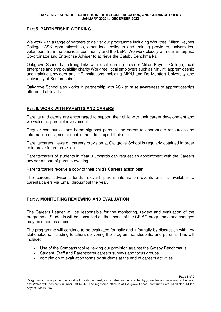## **Part 5. PARTNERSHIP WORKING**

We work with a range of partners to deliver our programme including Worktree, Milton Keynes College, ASK Apprenticeships, other local colleges and training providers, universities, volunteers from the business community and the LEP. We work closely with our Enterprise Co-ordinator and Enterprise Adviser to achieve the Gatsby Benchmarks.

Oakgrove School has strong links with local learning provider Milton Keynes College, local enterprise and employability charity Worktree, local employers such as Niftylift, apprenticeship and training providers and HE institutions including MK:U and De Montfort University and University of Bedfordshire.

Oakgrove School also works in partnership with ASK to raise awareness of apprenticeships offered at all levels.

# **Part 6. WORK WITH PARENTS AND CARERS**

Parents and carers are encouraged to support their child with their career development and we welcome parental involvement.

Regular communications home signpost parents and carers to appropriate resources and information designed to enable them to support their child.

Parents/carers views on careers provision at Oakgrove School is regularly obtained in order to improve future provision.

Parents/carers of students in Year 9 upwards can request an appointment with the Careers adviser as part of parents evening.

Parents/carers receive a copy of their child's Careers action plan.

The careers adviser attends relevant parent information events and is available to parents/carers via Email throughout the year.

## **Part 7. MONITORING REVIEWING AND EVALUATION**

The Careers Leader will be responsible for the monitoring, review and evaluation of the programme. Students will be consulted on the impact of the CEIAG programme and changes may be made as a result.

The programme will continue to be evaluated formally and informally by discussion with key stakeholders, including teachers delivering the programme, students, and parents. This will include:

- Use of the Compass tool reviewing our provision against the Gatsby Benchmarks
- Student, Staff and Parent/carer careers surveys and focus groups
- completion of evaluation forms by students at the end of careers activities